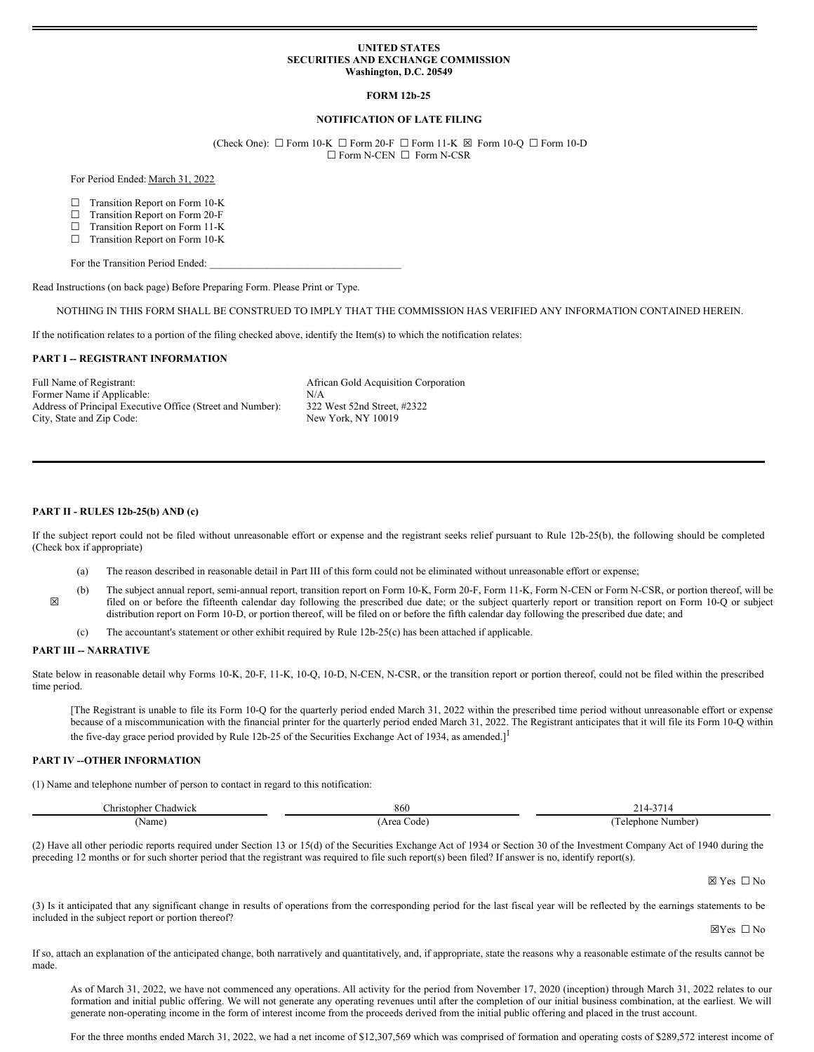### **UNITED STATES SECURITIES AND EXCHANGE COMMISSION Washington, D.C. 20549**

# **FORM 12b-25**

### **NOTIFICATION OF LATE FILING**

(Check One):  $\Box$  Form 10-K  $\Box$  Form 20-F  $\Box$  Form 11-K  $\boxtimes$  Form 10-Q  $\Box$  Form 10-D ☐ Form N-CEN ☐ Form N-CSR

For Period Ended: March 31, 2022

- ☐ Transition Report on Form 10-K
- ☐ Transition Report on Form 20-F
- ☐ Transition Report on Form 11-K
- ☐ Transition Report on Form 10-K

For the Transition Period Ended:

Read Instructions (on back page) Before Preparing Form. Please Print or Type.

NOTHING IN THIS FORM SHALL BE CONSTRUED TO IMPLY THAT THE COMMISSION HAS VERIFIED ANY INFORMATION CONTAINED HEREIN.

If the notification relates to a portion of the filing checked above, identify the Item(s) to which the notification relates:

#### **PART I -- REGISTRANT INFORMATION**

Full Name of Registrant:  $\blacksquare$  African Gold Acquisition Corporation Former Name if Applicable: N/A Address of Principal Executive Office (Street and Number): 322 West 52nd Street, #2322 City, State and Zip Code: New York, NY 10019

#### **PART II - RULES 12b-25(b) AND (c)**

If the subject report could not be filed without unreasonable effort or expense and the registrant seeks relief pursuant to Rule 12b-25(b), the following should be completed (Check box if appropriate)

- (a) The reason described in reasonable detail in Part III of this form could not be eliminated without unreasonable effort or expense;
- ☒ (b) The subject annual report, semi-annual report, transition report on Form 10-K, Form 20-F, Form 11-K, Form N-CEN or Form N-CSR, or portion thereof, will be filed on or before the fifteenth calendar day following the prescribed due date; or the subject quarterly report or transition report on Form 10-Q or subject distribution report on Form 10-D, or portion thereof, will be filed on or before the fifth calendar day following the prescribed due date; and
	- (c) The accountant's statement or other exhibit required by Rule 12b-25(c) has been attached if applicable.

## **PART III -- NARRATIVE**

State below in reasonable detail why Forms 10-K, 20-F, 11-K, 10-Q, 10-D, N-CEN, N-CSR, or the transition report or portion thereof, could not be filed within the prescribed time period.

[The Registrant is unable to file its Form 10-Q for the quarterly period ended March 31, 2022 within the prescribed time period without unreasonable effort or expense because of a miscommunication with the financial printer for the quarterly period ended March 31, 2022. The Registrant anticipates that it will file its Form 10-Q within the five-day grace period provided by Rule 12b-25 of the Securities Exchange Act of 1934, as amended. $]$ <sup>1</sup>

### **PART IV --OTHER INFORMATION**

(1) Name and telephone number of person to contact in regard to this notification:

| :hadwick<br>$\cup$ hristopher | 860          | . .<br>$\mathbf{r}$<br>. . |
|-------------------------------|--------------|----------------------------|
| Name                          | Area<br>code | Number<br>elephone         |

(2) Have all other periodic reports required under Section 13 or 15(d) of the Securities Exchange Act of 1934 or Section 30 of the Investment Company Act of 1940 during the preceding 12 months or for such shorter period that the registrant was required to file such report(s) been filed? If answer is no, identify report(s).

☒ Yes ☐ No

(3) Is it anticipated that any significant change in results of operations from the corresponding period for the last fiscal year will be reflected by the earnings statements to be included in the subject report or portion thereof?

☒Yes ☐ No

If so, attach an explanation of the anticipated change, both narratively and quantitatively, and, if appropriate, state the reasons why a reasonable estimate of the results cannot be made.

As of March 31, 2022, we have not commenced any operations. All activity for the period from November 17, 2020 (inception) through March 31, 2022 relates to our formation and initial public offering. We will not generate any operating revenues until after the completion of our initial business combination, at the earliest. We will generate non-operating income in the form of interest income from the proceeds derived from the initial public offering and placed in the trust account.

For the three months ended March 31, 2022, we had a net income of \$12,307,569 which was comprised of formation and operating costs of \$289,572 interest income of